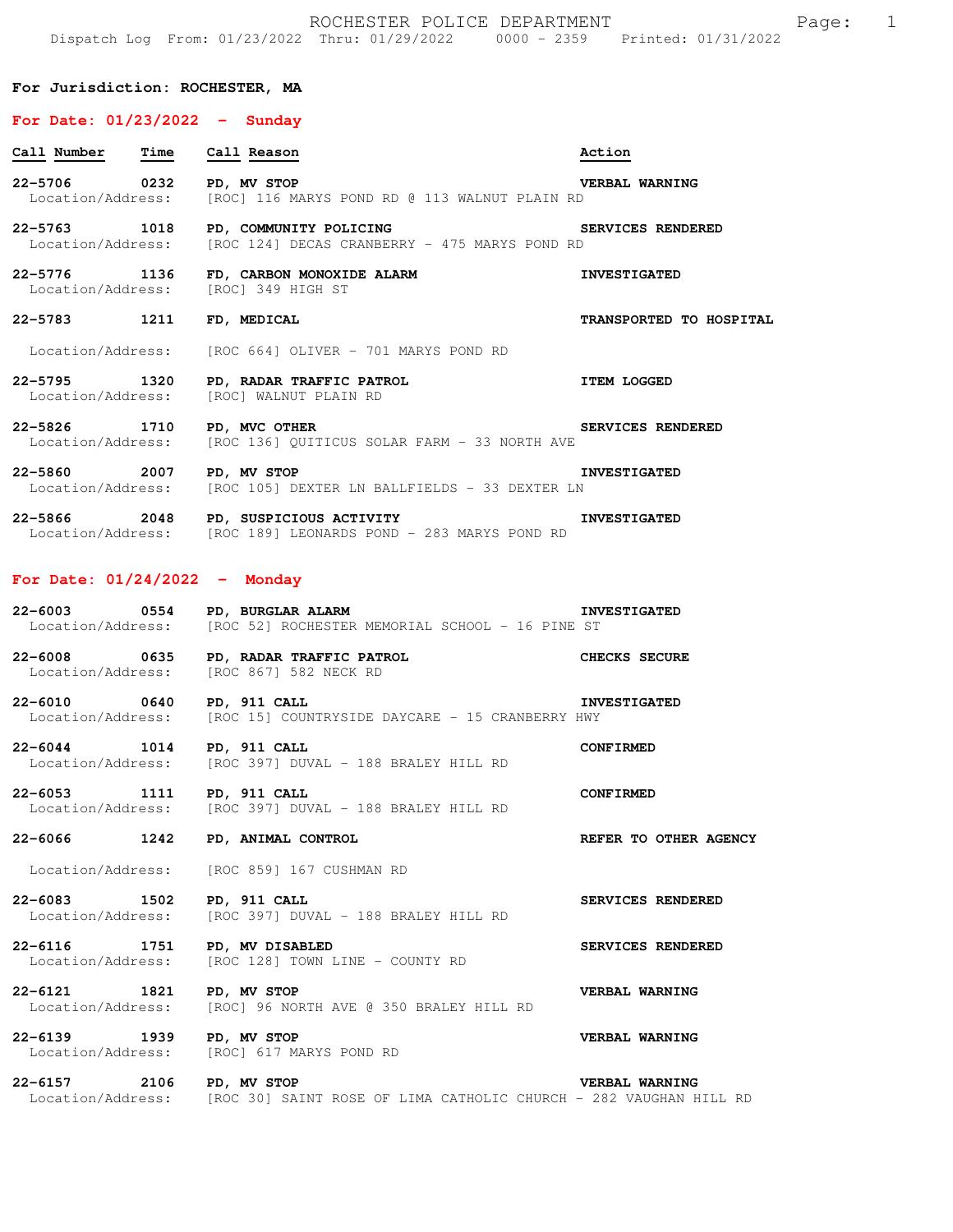### **For Jurisdiction: ROCHESTER, MA**

### **For Date: 01/23/2022 - Sunday**

| Call Number Time Call Reason        |                                                                                                                             | Action                  |
|-------------------------------------|-----------------------------------------------------------------------------------------------------------------------------|-------------------------|
| 22-5706 0232 PD, MV STOP            | Location/Address: [ROC] 116 MARYS POND RD @ 113 WALNUT PLAIN RD                                                             | <b>VERBAL WARNING</b>   |
| 22-5763 1018                        | SERVICES RENDERED<br>PD, COMMUNITY POLICING<br>Location/Address: [ROC 124] DECAS CRANBERRY - 475 MARYS POND RD              |                         |
| Location/Address: [ROC] 349 HIGH ST | 22-5776 1136 FD, CARBON MONOXIDE ALARM                                                                                      | <b>INVESTIGATED</b>     |
| 22-5783 1211                        | FD, MEDICAL                                                                                                                 | TRANSPORTED TO HOSPITAL |
|                                     | Location/Address: [ROC 664] OLIVER - 701 MARYS POND RD                                                                      |                         |
|                                     | 22-5795 1320 PD, RADAR TRAFFIC PATROL<br>Location/Address: [BOC] WALNUT PLAIN BD<br>Location/Address: [ROC] WALNUT PLAIN RD | <b>ITEM LOGGED</b>      |
| 22-5826 1710 PD, MVC OTHER          | Location/Address: [ROC 136] QUITICUS SOLAR FARM - 33 NORTH AVE                                                              | SERVICES RENDERED       |
| 22-5860 2007 PD, MV STOP            | Location/Address: [ROC 105] DEXTER LN BALLFIELDS - 33 DEXTER LN                                                             | <b>INVESTIGATED</b>     |
|                                     | 2018 PD, SUSPICIOUS ACTIVITY<br>Location/Address: [ROC 189] LEONARDS POND - 283 MARYS POND RD                               |                         |
| For Date: $01/24/2022 -$ Monday     |                                                                                                                             |                         |
| 22-6003 0554 PD, BURGLAR ALARM      | Location/Address: [ROC 52] ROCHESTER MEMORIAL SCHOOL - 16 PINE ST                                                           | <b>INVESTIGATED</b>     |
|                                     | 22-6008 0635 PD, RADAR TRAFFIC PATROL CHECKS SECURE<br>Location/Address: [ROC 867] 582 NECK RD                              |                         |
| 22-6010 0640 PD, 911 CALL           | Location/Address: [ROC 15] COUNTRYSIDE DAYCARE - 15 CRANBERRY HWY                                                           | <b>INVESTIGATED</b>     |

**22-6044 1014 PD, 911 CALL CONFIRMED**  Location/Address: [ROC 397] DUVAL - 188 BRALEY HILL RD

**22-6053 1111 PD, 911 CALL CONFIRMED**  Location/Address: [ROC 397] DUVAL - 188 BRALEY HILL RD

**22-6066 1242 PD, ANIMAL CONTROL REFER TO OTHER AGENCY** 

Location/Address: [ROC 859] 167 CUSHMAN RD

**22-6083 1502 PD, 911 CALL SERVICES RENDERED**<br>Location/Address: [ROC 397] DUVAL - 188 BRALEY HILL RD [ROC 397] DUVAL - 188 BRALEY HILL RD

**22-6116 1751 PD, MV DISABLED SERVICES RENDERED**  Location/Address: [ROC 128] TOWN LINE - COUNTY RD

**22-6121 1821 PD, MV STOP VERBAL WARNING**  Location/Address: [ROC] 96 NORTH AVE @ 350 BRALEY HILL RD

**22-6139 1939 PD, MV STOP VERBAL WARNING**  Location/Address: [ROC] 617 MARYS POND RD

**22-6157 2106 PD, MV STOP VERBAL WARNING**  Location/Address: [ROC 30] SAINT ROSE OF LIMA CATHOLIC CHURCH - 282 VAUGHAN HILL RD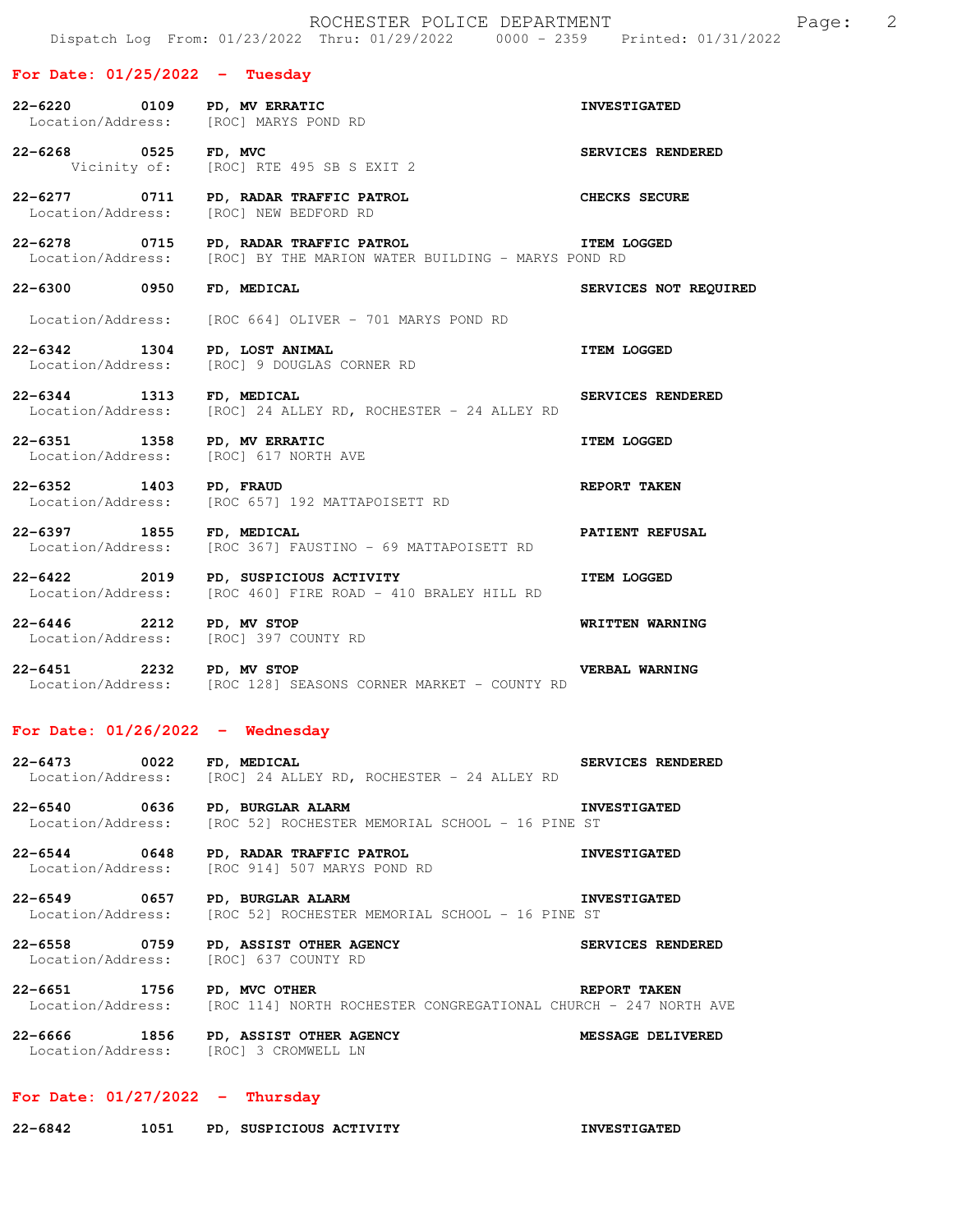**For Date: 01/25/2022 - Tuesday 22-6220 0109 PD, MV ERRATIC INVESTIGATED**  Location/Address: [ROC] MARYS POND RD **22-6268 0525 FD, MVC SERVICES RENDERED**  Vicinity of: [ROC] RTE 495 SB S EXIT 2 **22-6277 0711 PD, RADAR TRAFFIC PATROL CHECKS SECURE**  Location/Address: [ROC] NEW BEDFORD RD **22-6278 0715 PD, RADAR TRAFFIC PATROL ITEM LOGGED**  Location/Address: [ROC] BY THE MARION WATER BUILDING - MARYS POND RD **22-6300 0950 FD, MEDICAL SERVICES NOT REQUIRED**  Location/Address: [ROC 664] OLIVER - 701 MARYS POND RD **22-6342 1304 PD, LOST ANIMAL ITEM LOGGED**  Location/Address: [ROC] 9 DOUGLAS CORNER RD **22-6344 1313 FD, MEDICAL SERVICES RENDERED**<br>Location/Address: [ROC] 24 ALLEY RD, ROCHESTER - 24 ALLEY RD [ROC] 24 ALLEY RD, ROCHESTER - 24 ALLEY RD **22-6351 1358 PD, MV ERRATIC ITEM LOGGED**  Location/Address: [ROC] 617 NORTH AVE **22-6352 1403 PD, FRAUD REPORT TAKEN**  Location/Address: [ROC 657] 192 MATTAPOISETT RD **22-6397 1855 FD, MEDICAL PATIENT REFUSAL**  Location/Address: [ROC 367] FAUSTINO - 69 MATTAPOISETT RD **22-6422** 2019 PD, SUSPICIOUS ACTIVITY **ITEM LOGGED**  Location/Address: [ROC 460] FIRE ROAD - 410 BRALEY HILL RD **22-6446 2212 PD, MV STOP WRITTEN WARNING** 

Location/Address: [ROC] 397 COUNTY RD **22-6451 2232 PD, MV STOP VERBAL WARNING** 

Location/Address: [ROC 128] SEASONS CORNER MARKET - COUNTY RD

## **For Date: 01/26/2022 - Wednesday**

**22-6473 0022 FD, MEDICAL SERVICES RENDERED**  Location/Address: [ROC] 24 ALLEY RD, ROCHESTER - 24 ALLEY RD

**22-6540 0636 PD, BURGLAR ALARM INVESTIGATED**  Location/Address: [ROC 52] ROCHESTER MEMORIAL SCHOOL - 16 PINE ST

**22-6544 0648 PD, RADAR TRAFFIC PATROL INVESTIGATED**  [ROC 914] 507 MARYS POND RD

**22-6549 0657 PD, BURGLAR ALARM INVESTIGATED**  Location/Address: [ROC 52] ROCHESTER MEMORIAL SCHOOL - 16 PINE ST

**22-6558 0759 PD, ASSIST OTHER AGENCY SERVICES RENDERED**<br>
Location/Address: [ROC] 637 COUNTY RD Location/Address:

**22-6651 1756 PD, MVC OTHER REPORT TAKEN**  Location/Address: [ROC 114] NORTH ROCHESTER CONGREGATIONAL CHURCH - 247 NORTH AVE

**22-6666 1856 PD, ASSIST OTHER AGENCY MESSAGE DELIVERED**<br>
Location/Address: [ROC] 3 CROMWELL LN [ROC] 3 CROMWELL LN

# **For Date: 01/27/2022 - Thursday**

| $22 - 6842$ | 1051 | PD, SUSPICIOUS ACTIVITY | <b>INVESTIGATED</b> |
|-------------|------|-------------------------|---------------------|
|             |      |                         |                     |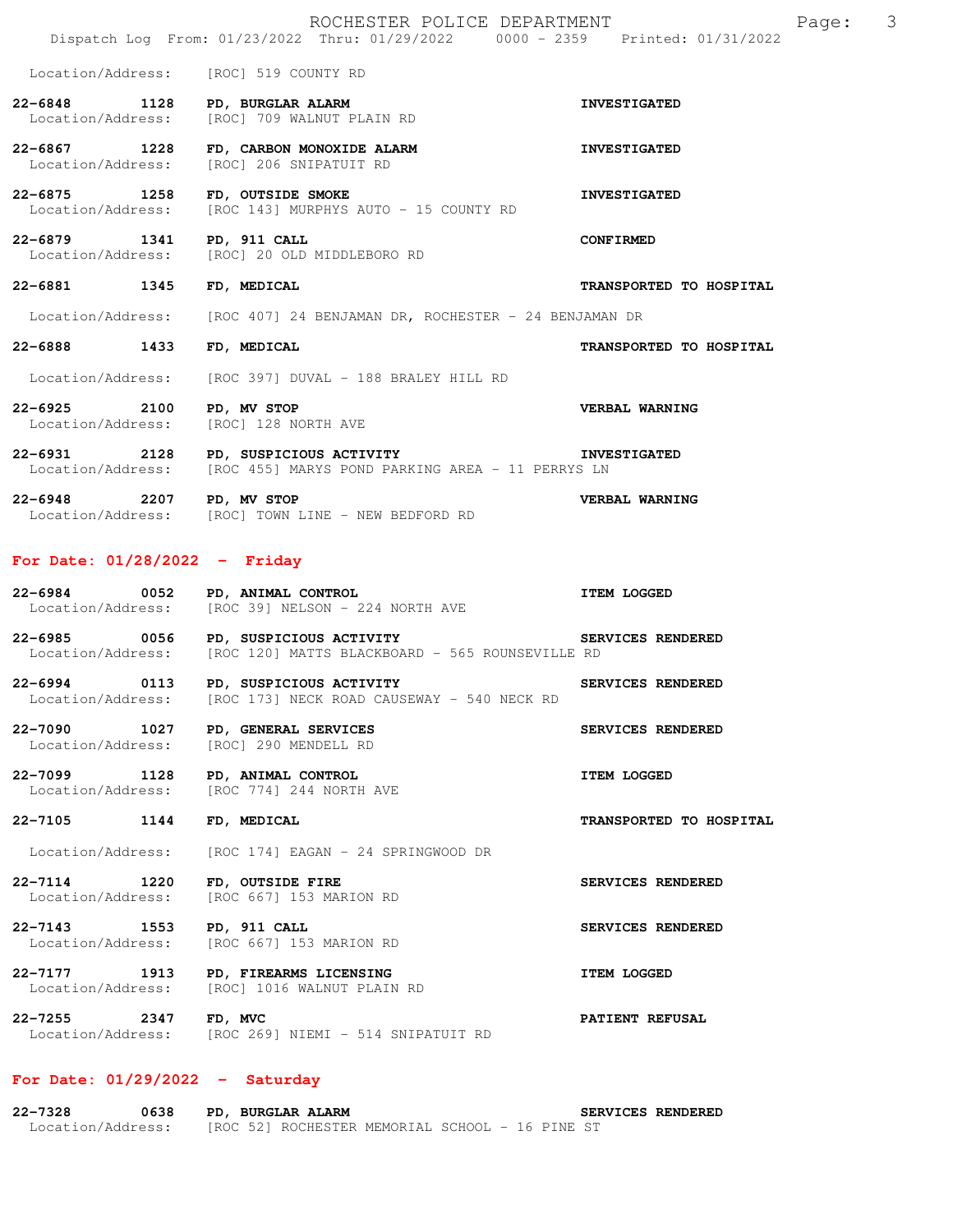|                                      | ROCHESTER POLICE DEPARTMENT<br>Dispatch Log From: 01/23/2022 Thru: 01/29/2022 0000 - 2359 Printed: 01/31/2022               | 3<br>Page:              |
|--------------------------------------|-----------------------------------------------------------------------------------------------------------------------------|-------------------------|
|                                      | Location/Address: [ROC] 519 COUNTY RD                                                                                       |                         |
| 22-6848 1128                         | PD, BURGLAR ALARM<br>[ROC] 709 WALNUT PLAIN RD<br>Location/Address: [ROC] 709 WALNUT PLAIN RD                               | <b>INVESTIGATED</b>     |
| 22-6867 1228                         | FD, CARBON MONOXIDE ALARM<br>Location/Address: [ROC] 206 SNIPATUIT RD                                                       | <b>INVESTIGATED</b>     |
| 22-6875 1258                         | FD, OUTSIDE SMOKE<br>Location/Address: [ROC 143] MURPHYS AUTO - 15 COUNTY RD                                                | <b>INVESTIGATED</b>     |
| 22-6879 1341 PD, 911 CALL            | Location/Address: [ROC] 20 OLD MIDDLEBORO RD                                                                                | <b>CONFIRMED</b>        |
| 22-6881 1345                         | FD, MEDICAL                                                                                                                 | TRANSPORTED TO HOSPITAL |
|                                      | Location/Address: [ROC 407] 24 BENJAMAN DR, ROCHESTER - 24 BENJAMAN DR                                                      |                         |
| 22-6888 1433                         | FD, MEDICAL                                                                                                                 | TRANSPORTED TO HOSPITAL |
|                                      | Location/Address: [ROC 397] DUVAL - 188 BRALEY HILL RD                                                                      |                         |
| 22-6925 2100                         | PD, MV STOP<br>Location/Address: [ROC] 128 NORTH AVE                                                                        | <b>VERBAL WARNING</b>   |
|                                      | 22-6931 2128 PD, SUSPICIOUS ACTIVITY THE INVESTIGATED<br>Location/Address: [ROC 455] MARYS POND PARKING AREA - 11 PERRYS LN |                         |
| 22-6948 2207 PD, MV STOP             | Location/Address: [ROC] TOWN LINE - NEW BEDFORD RD                                                                          | VERBAL WARNING          |
| For Date: $01/28/2022 -$ Friday      |                                                                                                                             |                         |
| 22-6984 0052 PD, ANIMAL CONTROL      | Location/Address: [ROC 39] NELSON - 224 NORTH AVE                                                                           | <b>ITEM LOGGED</b>      |
|                                      | 22-6985 0056 PD, SUSPICIOUS ACTIVITY SERVICES RENDERED<br>Location/Address: [ROC 120] MATTS BLACKBOARD - 565 ROUNSEVILLE RD |                         |
| 22-6994 0113                         | PD, SUSPICIOUS ACTIVITY<br>Location/Address: [ROC 173] NECK ROAD CAUSEWAY - 540 NECK RD                                     | SERVICES RENDERED       |
| 22-7090<br>1027<br>Location/Address: | PD, GENERAL SERVICES<br>[ROC] 290 MENDELL RD                                                                                | SERVICES RENDERED       |
| 22-7099 1128<br>Location/Address:    | PD, ANIMAL CONTROL<br>[ROC 774] 244 NORTH AVE                                                                               | <b>ITEM LOGGED</b>      |
| 22-7105 1144                         | FD, MEDICAL                                                                                                                 | TRANSPORTED TO HOSPITAL |
| Location/Address:                    | [ROC 174] EAGAN - 24 SPRINGWOOD DR                                                                                          |                         |
| 22–7114 1220<br>Location/Address:    | FD, OUTSIDE FIRE<br>[ROC 667] 153 MARION RD                                                                                 | SERVICES RENDERED       |
| 22-7143 1553<br>Location/Address:    | PD, 911 CALL<br>[ROC 667] 153 MARION RD                                                                                     | SERVICES RENDERED       |
| 22–7177 1913<br>Location/Address:    | PD, FIREARMS LICENSING<br>[ROC] 1016 WALNUT PLAIN RD                                                                        | <b>ITEM LOGGED</b>      |
| 22–7255 2347                         | FD, MVC<br>Location/Address: [ROC 269] NIEMI - 514 SNIPATUIT RD                                                             | <b>PATIENT REFUSAL</b>  |
| For Date: $01/29/2022 -$ Saturday    |                                                                                                                             |                         |

#### **22-7328 0638 PD, BURGLAR ALARM SERVICES RENDERED**  Location/Address: [ROC 52] ROCHESTER MEMORIAL SCHOOL - 16 PINE ST